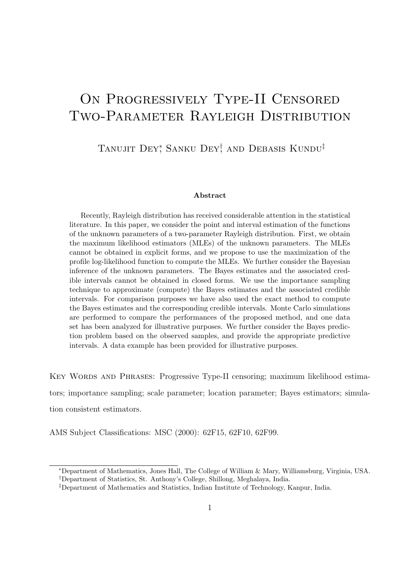# ON PROGRESSIVELY TYPE-II CENSORED Two-Parameter Rayleigh Distribution

TANUJIT DEY<sup>\*</sup>, SANKU DEY<sup>†</sup>, AND DEBASIS KUNDU<sup>‡</sup>

#### Abstract

Recently, Rayleigh distribution has received considerable attention in the statistical literature. In this paper, we consider the point and interval estimation of the functions of the unknown parameters of a two-parameter Rayleigh distribution. First, we obtain the maximum likelihood estimators (MLEs) of the unknown parameters. The MLEs cannot be obtained in explicit forms, and we propose to use the maximization of the profile log-likelihood function to compute the MLEs. We further consider the Bayesian inference of the unknown parameters. The Bayes estimates and the associated credible intervals cannot be obtained in closed forms. We use the importance sampling technique to approximate (compute) the Bayes estimates and the associated credible intervals. For comparison purposes we have also used the exact method to compute the Bayes estimates and the corresponding credible intervals. Monte Carlo simulations are performed to compare the performances of the proposed method, and one data set has been analyzed for illustrative purposes. We further consider the Bayes prediction problem based on the observed samples, and provide the appropriate predictive intervals. A data example has been provided for illustrative purposes.

Key Words and Phrases: Progressive Type-II censoring; maximum likelihood estimators; importance sampling; scale parameter; location parameter; Bayes estimators; simulation consistent estimators.

AMS Subject Classifications: MSC (2000): 62F15, 62F10, 62F99.

<sup>∗</sup>Department of Mathematics, Jones Hall, The College of William & Mary, Williamsburg, Virginia, USA.

<sup>†</sup>Department of Statistics, St. Anthony's College, Shillong, Meghalaya, India.

<sup>‡</sup>Department of Mathematics and Statistics, Indian Institute of Technology, Kanpur, India.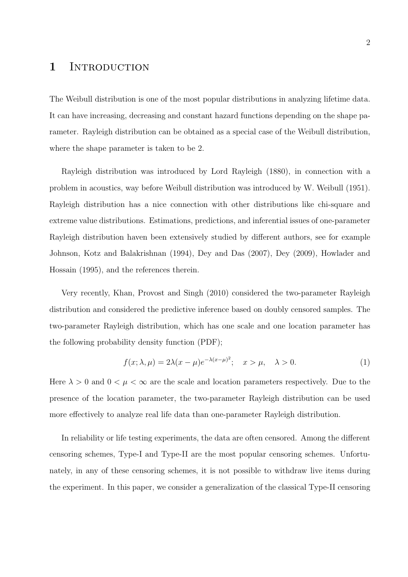#### 1 INTRODUCTION

The Weibull distribution is one of the most popular distributions in analyzing lifetime data. It can have increasing, decreasing and constant hazard functions depending on the shape parameter. Rayleigh distribution can be obtained as a special case of the Weibull distribution, where the shape parameter is taken to be 2.

Rayleigh distribution was introduced by Lord Rayleigh (1880), in connection with a problem in acoustics, way before Weibull distribution was introduced by W. Weibull (1951). Rayleigh distribution has a nice connection with other distributions like chi-square and extreme value distributions. Estimations, predictions, and inferential issues of one-parameter Rayleigh distribution haven been extensively studied by different authors, see for example Johnson, Kotz and Balakrishnan (1994), Dey and Das (2007), Dey (2009), Howlader and Hossain (1995), and the references therein.

Very recently, Khan, Provost and Singh (2010) considered the two-parameter Rayleigh distribution and considered the predictive inference based on doubly censored samples. The two-parameter Rayleigh distribution, which has one scale and one location parameter has the following probability density function (PDF);

$$
f(x; \lambda, \mu) = 2\lambda(x - \mu)e^{-\lambda(x - \mu)^2}; \quad x > \mu, \quad \lambda > 0.
$$
 (1)

Here  $\lambda > 0$  and  $0 < \mu < \infty$  are the scale and location parameters respectively. Due to the presence of the location parameter, the two-parameter Rayleigh distribution can be used more effectively to analyze real life data than one-parameter Rayleigh distribution.

In reliability or life testing experiments, the data are often censored. Among the different censoring schemes, Type-I and Type-II are the most popular censoring schemes. Unfortunately, in any of these censoring schemes, it is not possible to withdraw live items during the experiment. In this paper, we consider a generalization of the classical Type-II censoring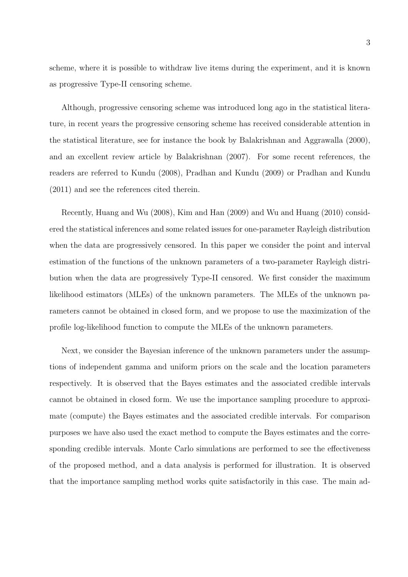scheme, where it is possible to withdraw live items during the experiment, and it is known as progressive Type-II censoring scheme.

Although, progressive censoring scheme was introduced long ago in the statistical literature, in recent years the progressive censoring scheme has received considerable attention in the statistical literature, see for instance the book by Balakrishnan and Aggrawalla (2000), and an excellent review article by Balakrishnan (2007). For some recent references, the readers are referred to Kundu (2008), Pradhan and Kundu (2009) or Pradhan and Kundu (2011) and see the references cited therein.

Recently, Huang and Wu (2008), Kim and Han (2009) and Wu and Huang (2010) considered the statistical inferences and some related issues for one-parameter Rayleigh distribution when the data are progressively censored. In this paper we consider the point and interval estimation of the functions of the unknown parameters of a two-parameter Rayleigh distribution when the data are progressively Type-II censored. We first consider the maximum likelihood estimators (MLEs) of the unknown parameters. The MLEs of the unknown parameters cannot be obtained in closed form, and we propose to use the maximization of the profile log-likelihood function to compute the MLEs of the unknown parameters.

Next, we consider the Bayesian inference of the unknown parameters under the assumptions of independent gamma and uniform priors on the scale and the location parameters respectively. It is observed that the Bayes estimates and the associated credible intervals cannot be obtained in closed form. We use the importance sampling procedure to approximate (compute) the Bayes estimates and the associated credible intervals. For comparison purposes we have also used the exact method to compute the Bayes estimates and the corresponding credible intervals. Monte Carlo simulations are performed to see the effectiveness of the proposed method, and a data analysis is performed for illustration. It is observed that the importance sampling method works quite satisfactorily in this case. The main ad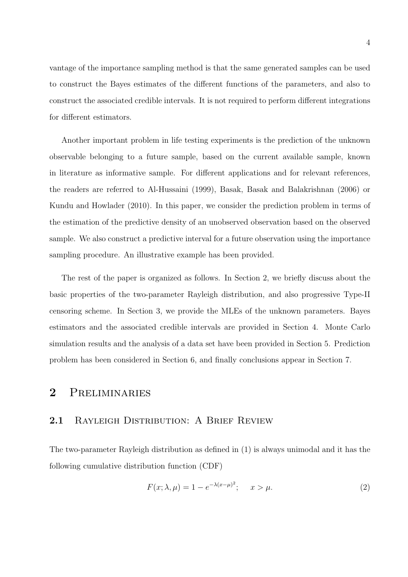vantage of the importance sampling method is that the same generated samples can be used to construct the Bayes estimates of the different functions of the parameters, and also to construct the associated credible intervals. It is not required to perform different integrations for different estimators.

Another important problem in life testing experiments is the prediction of the unknown observable belonging to a future sample, based on the current available sample, known in literature as informative sample. For different applications and for relevant references, the readers are referred to Al-Hussaini (1999), Basak, Basak and Balakrishnan (2006) or Kundu and Howlader (2010). In this paper, we consider the prediction problem in terms of the estimation of the predictive density of an unobserved observation based on the observed sample. We also construct a predictive interval for a future observation using the importance sampling procedure. An illustrative example has been provided.

The rest of the paper is organized as follows. In Section 2, we briefly discuss about the basic properties of the two-parameter Rayleigh distribution, and also progressive Type-II censoring scheme. In Section 3, we provide the MLEs of the unknown parameters. Bayes estimators and the associated credible intervals are provided in Section 4. Monte Carlo simulation results and the analysis of a data set have been provided in Section 5. Prediction problem has been considered in Section 6, and finally conclusions appear in Section 7.

#### 2 Preliminaries

#### 2.1 RAYLEIGH DISTRIBUTION: A BRIEF REVIEW

The two-parameter Rayleigh distribution as defined in (1) is always unimodal and it has the following cumulative distribution function (CDF)

$$
F(x; \lambda, \mu) = 1 - e^{-\lambda(x - \mu)^2}; \quad x > \mu.
$$
 (2)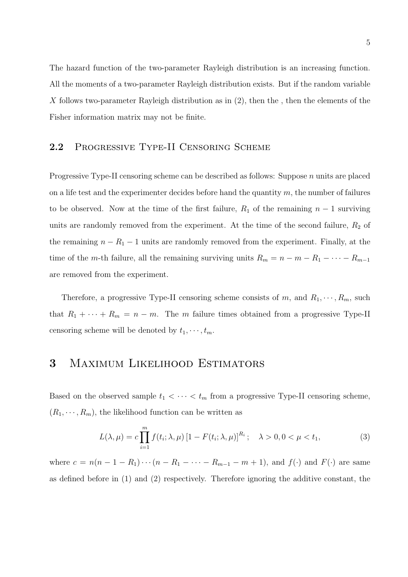The hazard function of the two-parameter Rayleigh distribution is an increasing function. All the moments of a two-parameter Rayleigh distribution exists. But if the random variable  $X$  follows two-parameter Rayleigh distribution as in  $(2)$ , then the, then the elements of the Fisher information matrix may not be finite.

#### 2.2 Progressive Type-II Censoring Scheme

Progressive Type-II censoring scheme can be described as follows: Suppose n units are placed on a life test and the experimenter decides before hand the quantity  $m$ , the number of failures to be observed. Now at the time of the first failure,  $R_1$  of the remaining  $n-1$  surviving units are randomly removed from the experiment. At the time of the second failure,  $R_2$  of the remaining  $n - R_1 - 1$  units are randomly removed from the experiment. Finally, at the time of the m-th failure, all the remaining surviving units  $R_m = n - m - R_1 - \cdots - R_{m-1}$ are removed from the experiment.

Therefore, a progressive Type-II censoring scheme consists of m, and  $R_1, \dots, R_m$ , such that  $R_1 + \cdots + R_m = n - m$ . The m failure times obtained from a progressive Type-II censoring scheme will be denoted by  $t_1, \dots, t_m$ .

### 3 Maximum Likelihood Estimators

Based on the observed sample  $t_1 < \cdots < t_m$  from a progressive Type-II censoring scheme,  $(R_1, \dots, R_m)$ , the likelihood function can be written as

$$
L(\lambda, \mu) = c \prod_{i=1}^{m} f(t_i; \lambda, \mu) \left[ 1 - F(t_i; \lambda, \mu) \right]^{R_i}; \quad \lambda > 0, 0 < \mu < t_1,
$$
 (3)

where  $c = n(n - 1 - R_1) \cdots (n - R_1 - \cdots - R_{m-1} - m + 1)$ , and  $f(\cdot)$  and  $F(\cdot)$  are same as defined before in (1) and (2) respectively. Therefore ignoring the additive constant, the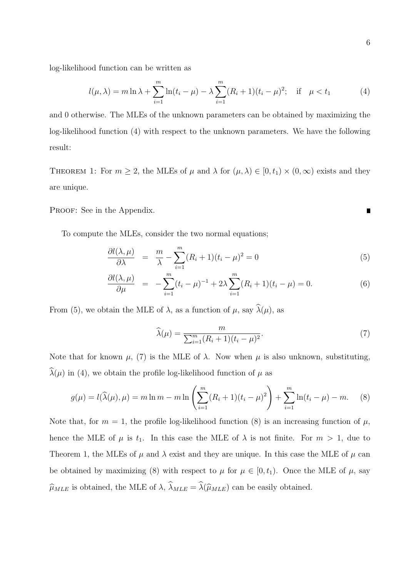log-likelihood function can be written as

$$
l(\mu,\lambda) = m \ln \lambda + \sum_{i=1}^{m} \ln(t_i - \mu) - \lambda \sum_{i=1}^{m} (R_i + 1)(t_i - \mu)^2; \quad \text{if} \quad \mu < t_1 \tag{4}
$$

and 0 otherwise. The MLEs of the unknown parameters can be obtained by maximizing the log-likelihood function (4) with respect to the unknown parameters. We have the following result:

THEOREM 1: For  $m \geq 2$ , the MLEs of  $\mu$  and  $\lambda$  for  $(\mu, \lambda) \in [0, t_1) \times (0, \infty)$  exists and they are unique.

PROOF: See in the Appendix.

To compute the MLEs, consider the two normal equations;

$$
\frac{\partial l(\lambda,\mu)}{\partial \lambda} = \frac{m}{\lambda} - \sum_{i=1}^{m} (R_i + 1)(t_i - \mu)^2 = 0
$$
\n(5)

$$
\frac{\partial l(\lambda,\mu)}{\partial \mu} = -\sum_{i=1}^{m} (t_i - \mu)^{-1} + 2\lambda \sum_{i=1}^{m} (R_i + 1)(t_i - \mu) = 0.
$$
 (6)

From (5), we obtain the MLE of  $\lambda$ , as a function of  $\mu$ , say  $\widehat{\lambda}(\mu)$ , as

$$
\widehat{\lambda}(\mu) = \frac{m}{\sum_{i=1}^{m} (R_i + 1)(t_i - \mu)^2}.
$$
\n(7)

Note that for known  $\mu$ , (7) is the MLE of  $\lambda$ . Now when  $\mu$  is also unknown, substituting,  $\lambda(\mu)$  in (4), we obtain the profile log-likelihood function of  $\mu$  as

$$
g(\mu) = l(\widehat{\lambda}(\mu), \mu) = m \ln m - m \ln \left( \sum_{i=1}^{m} (R_i + 1)(t_i - \mu)^2 \right) + \sum_{i=1}^{m} \ln(t_i - \mu) - m. \tag{8}
$$

Note that, for  $m = 1$ , the profile log-likelihood function (8) is an increasing function of  $\mu$ , hence the MLE of  $\mu$  is  $t_1$ . In this case the MLE of  $\lambda$  is not finite. For  $m > 1$ , due to Theorem 1, the MLEs of  $\mu$  and  $\lambda$  exist and they are unique. In this case the MLE of  $\mu$  can be obtained by maximizing (8) with respect to  $\mu$  for  $\mu \in [0, t_1)$ . Once the MLE of  $\mu$ , say  $\widehat{\mu}_{MLE}$  is obtained, the MLE of  $\lambda$ ,  $\widehat{\lambda}_{MLE} = \widehat{\lambda}(\widehat{\mu}_{MLE})$  can be easily obtained.

 $\blacksquare$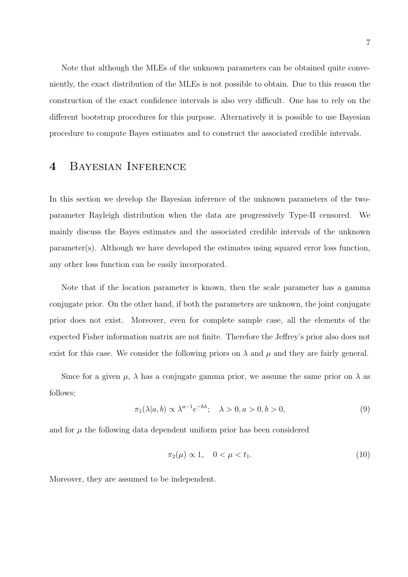Note that although the MLEs of the unknown parameters can be obtained quite conveniently, the exact distribution of the MLEs is not possible to obtain. Due to this reason the construction of the exact confidence intervals is also very difficult. One has to rely on the different bootstrap procedures for this purpose. Alternatively it is possible to use Bayesian procedure to compute Bayes estimates and to construct the associated credible intervals.

## 4 Bayesian Inference

In this section we develop the Bayesian inference of the unknown parameters of the twoparameter Rayleigh distribution when the data are progressively Type-II censored. We mainly discuss the Bayes estimates and the associated credible intervals of the unknown  $parameter(s)$ . Although we have developed the estimates using squared error loss function, any other loss function can be easily incorporated.

Note that if the location parameter is known, then the scale parameter has a gamma conjugate prior. On the other hand, if both the parameters are unknown, the joint conjugate prior does not exist. Moreover, even for complete sample case, all the elements of the expected Fisher information matrix are not finite. Therefore the Jeffrey's prior also does not exist for this case. We consider the following priors on  $\lambda$  and  $\mu$  and they are fairly general.

Since for a given  $\mu$ ,  $\lambda$  has a conjugate gamma prior, we assume the same prior on  $\lambda$  as follows;

$$
\pi_1(\lambda|a,b) \propto \lambda^{a-1} e^{-b\lambda}; \quad \lambda > 0, a > 0, b > 0,
$$
\n<sup>(9)</sup>

and for  $\mu$  the following data dependent uniform prior has been considered

$$
\pi_2(\mu) \propto 1, \quad 0 < \mu < t_1. \tag{10}
$$

Moreover, they are assumed to be independent.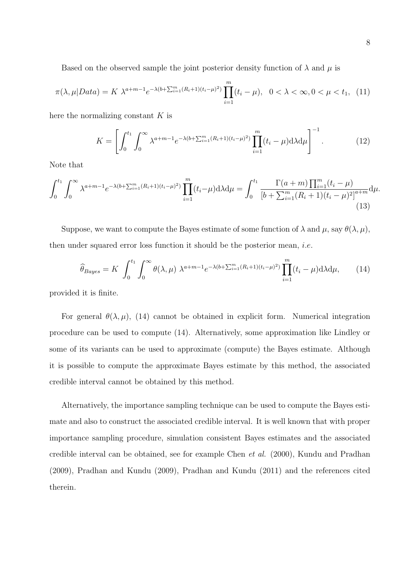Based on the observed sample the joint posterior density function of  $\lambda$  and  $\mu$  is

$$
\pi(\lambda, \mu | Data) = K \ \lambda^{a+m-1} e^{-\lambda(b + \sum_{i=1}^{m} (R_i + 1)(t_i - \mu)^2)} \prod_{i=1}^{m} (t_i - \mu), \ \ 0 < \lambda < \infty, 0 < \mu < t_1, \ \ (11)
$$

here the normalizing constant  $K$  is

$$
K = \left[ \int_0^{t_1} \int_0^{\infty} \lambda^{a+m-1} e^{-\lambda(b+\sum_{i=1}^m (R_i+1)(t_i-\mu)^2)} \prod_{i=1}^m (t_i-\mu) d\lambda d\mu \right]^{-1}.
$$
 (12)

Note that

$$
\int_0^{t_1} \int_0^{\infty} \lambda^{a+m-1} e^{-\lambda(b+\sum_{i=1}^m (R_i+1)(t_i-\mu)^2)} \prod_{i=1}^m (t_i-\mu) d\lambda d\mu = \int_0^{t_1} \frac{\Gamma(a+m) \prod_{i=1}^m (t_i-\mu)}{[b+\sum_{i=1}^m (R_i+1)(t_i-\mu)^2]^{a+m}} d\mu.
$$
\n(13)

Suppose, we want to compute the Bayes estimate of some function of  $\lambda$  and  $\mu$ , say  $\theta(\lambda, \mu)$ , then under squared error loss function it should be the posterior mean, i.e.

$$
\widehat{\theta}_{Bayes} = K \int_0^{t_1} \int_0^{\infty} \theta(\lambda, \mu) \ \lambda^{a+m-1} e^{-\lambda(b+\sum_{i=1}^m (R_i+1)(t_i-\mu)^2)} \prod_{i=1}^m (t_i-\mu) d\lambda d\mu, \tag{14}
$$

provided it is finite.

For general  $\theta(\lambda,\mu)$ , (14) cannot be obtained in explicit form. Numerical integration procedure can be used to compute (14). Alternatively, some approximation like Lindley or some of its variants can be used to approximate (compute) the Bayes estimate. Although it is possible to compute the approximate Bayes estimate by this method, the associated credible interval cannot be obtained by this method.

Alternatively, the importance sampling technique can be used to compute the Bayes estimate and also to construct the associated credible interval. It is well known that with proper importance sampling procedure, simulation consistent Bayes estimates and the associated credible interval can be obtained, see for example Chen et al. (2000), Kundu and Pradhan (2009), Pradhan and Kundu (2009), Pradhan and Kundu (2011) and the references cited therein.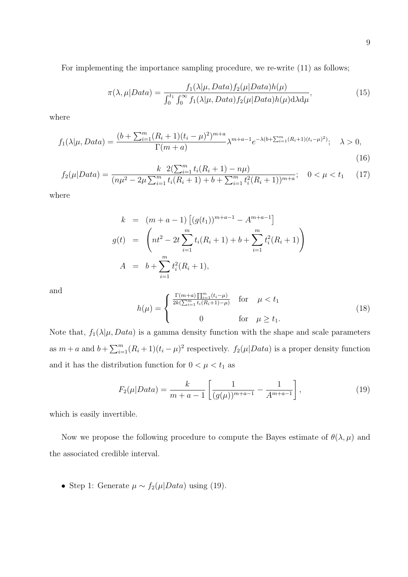For implementing the importance sampling procedure, we re-write (11) as follows;

$$
\pi(\lambda,\mu|Data) = \frac{f_1(\lambda|\mu,Data)f_2(\mu|Data)h(\mu)}{\int_0^{t_1} \int_0^{\infty} f_1(\lambda|\mu,Data)f_2(\mu|Data)h(\mu)d\lambda d\mu},\tag{15}
$$

where

$$
f_1(\lambda|\mu, Data) = \frac{(b + \sum_{i=1}^{m} (R_i + 1)(t_i - \mu)^2)^{m+a}}{\Gamma(m+a)} \lambda^{m+a-1} e^{-\lambda(b + \sum_{i=1}^{m} (R_i + 1)(t_i - \mu)^2)}; \quad \lambda > 0,
$$
\n(16)

$$
f_2(\mu|Data) = \frac{k \ 2(\sum_{i=1}^m t_i(R_i+1) - n\mu)}{(n\mu^2 - 2\mu \sum_{i=1}^m t_i(R_i+1) + b + \sum_{i=1}^m t_i^2(R_i+1))^{m+a}}; \quad 0 < \mu < t_1 \tag{17}
$$

where

$$
k = (m+a-1) [(g(t1))m+a-1 - Am+a-1]
$$
  
\n
$$
g(t) = \left( nt2 - 2t \sum_{i=1}^{m} t_i (R_i + 1) + b + \sum_{i=1}^{m} t_i2 (R_i + 1) \right)
$$
  
\n
$$
A = b + \sum_{i=1}^{m} t_i2 (R_i + 1),
$$

and

$$
h(\mu) = \begin{cases} \frac{\Gamma(m+a)\prod_{i=1}^{m}(t_i - \mu)}{2k(\sum_{i=1}^{m} t_i(R_i + 1) - \mu)} & \text{for } \mu < t_1\\ 0 & \text{for } \mu \ge t_1. \end{cases}
$$
 (18)

Note that,  $f_1(\lambda|\mu, Data)$  is a gamma density function with the shape and scale parameters as  $m + a$  and  $b + \sum_{i=1}^{m} (R_i + 1)(t_i - \mu)^2$  respectively.  $f_2(\mu|Data)$  is a proper density function and it has the distribution function for  $0<\mu< t_1$  as

$$
F_2(\mu|Data) = \frac{k}{m+a-1} \left[ \frac{1}{(g(\mu))^{m+a-1}} - \frac{1}{A^{m+a-1}} \right],
$$
\n(19)

which is easily invertible.

Now we propose the following procedure to compute the Bayes estimate of  $\theta(\lambda, \mu)$  and the associated credible interval.

• Step 1: Generate  $\mu \sim f_2(\mu|Data)$  using (19).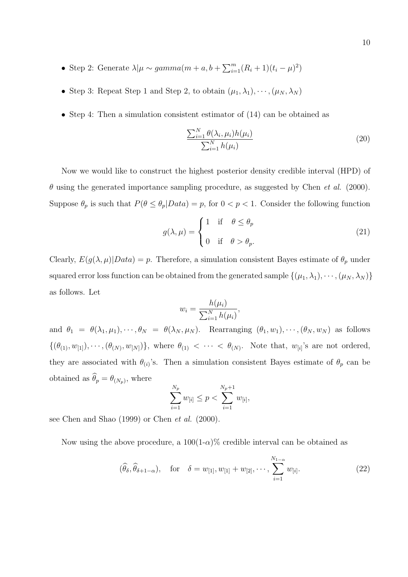- Step 2: Generate  $\lambda | \mu \sim gamma(m + a, b + \sum_{i=1}^{m} (R_i + 1)(t_i \mu)^2)$
- Step 3: Repeat Step 1 and Step 2, to obtain  $(\mu_1, \lambda_1), \cdots, (\mu_N, \lambda_N)$
- Step 4: Then a simulation consistent estimator of  $(14)$  can be obtained as

$$
\frac{\sum_{i=1}^{N} \theta(\lambda_i, \mu_i) h(\mu_i)}{\sum_{i=1}^{N} h(\mu_i)}
$$
\n(20)

Now we would like to construct the highest posterior density credible interval (HPD) of  $\theta$  using the generated importance sampling procedure, as suggested by Chen *et al.* (2000). Suppose  $\theta_p$  is such that  $P(\theta \leq \theta_p | Data) = p$ , for  $0 < p < 1$ . Consider the following function

$$
g(\lambda, \mu) = \begin{cases} 1 & \text{if } \theta \le \theta_p \\ 0 & \text{if } \theta > \theta_p. \end{cases}
$$
 (21)

Clearly,  $E(g(\lambda, \mu)|Data) = p$ . Therefore, a simulation consistent Bayes estimate of  $\theta_p$  under squared error loss function can be obtained from the generated sample  $\{(\mu_1, \lambda_1), \cdots, (\mu_N, \lambda_N)\}$ as follows. Let

$$
w_i = \frac{h(\mu_i)}{\sum_{i=1}^N h(\mu_i)},
$$

and  $\theta_1 = \theta(\lambda_1, \mu_1), \dots, \theta_N = \theta(\lambda_N, \mu_N)$ . Rearranging  $(\theta_1, w_1), \dots, (\theta_N, w_N)$  as follows  $\{(\theta_{(1)}, w_{[1]}, \dots, (\theta_{(N)}, w_{[N]})\},$  where  $\theta_{(1)} < \dots < \theta_{(N)}$ . Note that,  $w_{[i]}$ 's are not ordered, they are associated with  $\theta_{(i)}$ 's. Then a simulation consistent Bayes estimate of  $\theta_p$  can be obtained as  $\theta_p = \theta_{(N_p)}$ , where

$$
\sum_{i=1}^{N_p} w_{[i]} \le p < \sum_{i=1}^{N_p+1} w_{[i]},
$$

see Chen and Shao (1999) or Chen et al. (2000).

Now using the above procedure, a  $100(1-\alpha)\%$  credible interval can be obtained as

$$
(\hat{\theta}_{\delta}, \hat{\theta}_{\delta+1-\alpha}), \quad \text{for} \quad \delta = w_{[1]}, w_{[1]} + w_{[2]}, \cdots, \sum_{i=1}^{N_{1-\alpha}} w_{[i]}.
$$
 (22)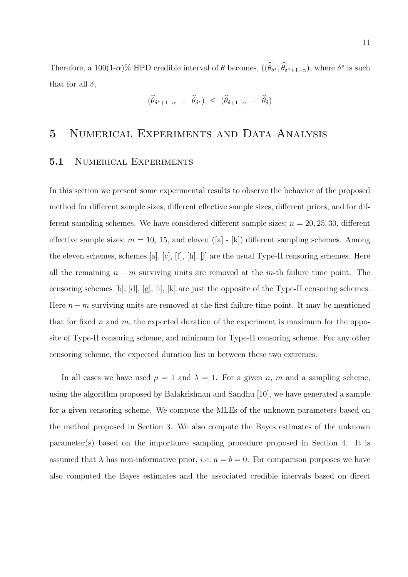Therefore, a 100(1- $\alpha$ )% HPD credible interval of  $\theta$  becomes,  $((\theta_{\delta^*}, \theta_{\delta^*+1-\alpha}),$  where  $\delta^*$  is such that for all  $\delta$ ,

$$
(\hat{\theta}_{\delta^*+1-\alpha} - \hat{\theta}_{\delta^*}) \leq (\hat{\theta}_{\delta+1-\alpha} - \hat{\theta}_{\delta})
$$

### 5 Numerical Experiments and Data Analysis

#### 5.1 NUMERICAL EXPERIMENTS

In this section we present some experimental results to observe the behavior of the proposed method for different sample sizes, different effective sample sizes, different priors, and for different sampling schemes. We have considered different sample sizes;  $n = 20, 25, 30$ , different effective sample sizes;  $m = 10, 15,$  and eleven ([a] - [k]) different sampling schemes. Among the eleven schemes, schemes [a], [c], [f], [h], [j] are the usual Type-II censoring schemes. Here all the remaining  $n - m$  surviving units are removed at the m-th failure time point. The censoring schemes [b], [d], [g], [i], [k] are just the opposite of the Type-II censoring schemes. Here  $n - m$  surviving units are removed at the first failure time point. It may be mentioned that for fixed n and m, the expected duration of the experiment is maximum for the opposite of Type-II censoring scheme, and minimum for Type-II censoring scheme. For any other censoring scheme, the expected duration lies in between these two extremes.

In all cases we have used  $\mu = 1$  and  $\lambda = 1$ . For a given n, m and a sampling scheme, using the algorithm proposed by Balakrishnan and Sandhu [10], we have generated a sample for a given censoring scheme. We compute the MLEs of the unknown parameters based on the method proposed in Section 3. We also compute the Bayes estimates of the unknown parameter(s) based on the importance sampling procedure proposed in Section 4. It is assumed that  $\lambda$  has non-informative prior, *i.e.*  $a = b = 0$ . For comparison purposes we have also computed the Bayes estimates and the associated credible intervals based on direct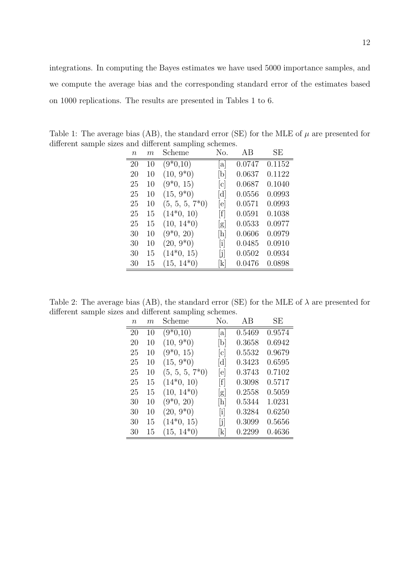| $\, n$ | m  | Scheme            | No.                       | AB     | SЕ     |
|--------|----|-------------------|---------------------------|--------|--------|
| 20     | 10 | $(9*0,10)$        | lal                       | 0.0747 | 0.1152 |
| 20     | 10 | $(10, 9^*0)$      | [b]                       | 0.0637 | 0.1122 |
| 25     | 10 | $(9*0, 15)$       | $ {\rm c} $               | 0.0687 | 0.1040 |
| 25     | 10 | $(15, 9^*0)$      | $\lbrack d \rbrack$       | 0.0556 | 0.0993 |
| 25     | 10 | $(5, 5, 5, 7^*0)$ | e                         | 0.0571 | 0.0993 |
| 25     | 15 | $(14*0, 10)$      | $\lceil f \rceil$         | 0.0591 | 0.1038 |
| 25     | 15 | $(10, 14*0)$      | g                         | 0.0533 | 0.0977 |
| 30     | 10 | $(9*0, 20)$       | [h]                       | 0.0606 | 0.0979 |
| 30     | 10 | $(20, 9^*0)$      | $\lceil i \rceil$         | 0.0485 | 0.0910 |
| 30     | 15 | $(14*0, 15)$      | [j]                       | 0.0502 | 0.0934 |
| 30     | 15 | $(15, 14*0)$      | $\left[\mathrm{k}\right]$ | 0.0476 | 0.0898 |

Table 1: The average bias (AB), the standard error (SE) for the MLE of  $\mu$  are presented for different sample sizes and different sampling schemes.

on 1000 replications. The results are presented in Tables 1 to 6.

Table 2: The average bias (AB), the standard error (SE) for the MLE of  $\lambda$  are presented for different sample sizes and different sampling schemes.

| $\, n$ | m  | Scheme            | No.                       | AB     | <b>SE</b> |
|--------|----|-------------------|---------------------------|--------|-----------|
| 20     | 10 | $(9*0,10)$        | $ {\rm a} $               | 0.5469 | 0.9574    |
| 20     | 10 | $(10, 9^*0)$      | [b]                       | 0.3658 | 0.6942    |
| 25     | 10 | $(9*0, 15)$       | $ {\rm c} $               | 0.5532 | 0.9679    |
| 25     | 10 | $(15, 9^*0)$      | $\lbrack d \rbrack$       | 0.3423 | 0.6595    |
| 25     | 10 | $(5, 5, 5, 7^*0)$ | e                         | 0.3743 | 0.7102    |
| 25     | 15 | $(14*0, 10)$      | [f]                       | 0.3098 | 0.5717    |
| 25     | 15 | $(10, 14^*0)$     | g                         | 0.2558 | 0.5059    |
| 30     | 10 | $(9*0, 20)$       | [h]                       | 0.5344 | 1.0231    |
| 30     | 10 | $(20, 9^*0)$      | $\left[\mathrm{i}\right]$ | 0.3284 | 0.6250    |
| 30     | 15 | $(14*0, 15)$      | [j]                       | 0.3099 | 0.5656    |
| 30     | 15 | $(15, 14^*0)$     | $\left[\mathrm{k}\right]$ | 0.2299 | 0.4636    |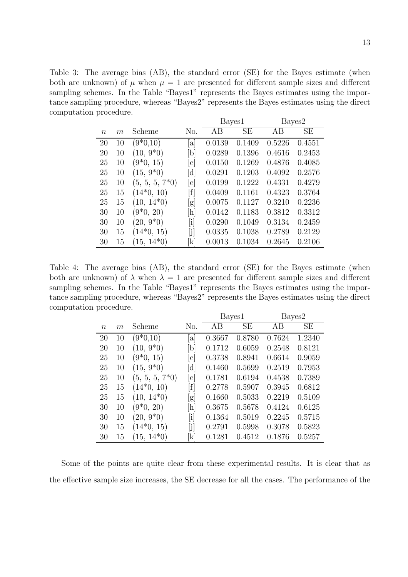Table 3: The average bias (AB), the standard error (SE) for the Bayes estimate (when both are unknown) of  $\mu$  when  $\mu = 1$  are presented for different sample sizes and different sampling schemes. In the Table "Bayes1" represents the Bayes estimates using the importance sampling procedure, whereas "Bayes2" represents the Bayes estimates using the direct computation procedure.

|                  |    |                   |                                      | Bayes1 |        |        | Bayes2 |
|------------------|----|-------------------|--------------------------------------|--------|--------|--------|--------|
| $\boldsymbol{n}$ | m  | Scheme            | No.                                  | AВ     | SЕ     | AВ     | SЕ     |
| 20               | 10 | $(9*0,10)$        | <sub>a</sub>                         | 0.0139 | 0.1409 | 0.5226 | 0.4551 |
| 20               | 10 | $(10, 9^*0)$      | [b]                                  | 0.0289 | 0.1396 | 0.4616 | 0.2453 |
| 25               | 10 | $(9*0, 15)$       | c                                    | 0.0150 | 0.1269 | 0.4876 | 0.4085 |
| 25               | 10 | $(15, 9^*0)$      | [d]                                  | 0.0291 | 0.1203 | 0.4092 | 0.2576 |
| 25               | 10 | $(5, 5, 5, 7^*0)$ | [e]                                  | 0.0199 | 0.1222 | 0.4331 | 0.4279 |
| 25               | 15 | $(14*0, 10)$      | $\lceil f \rceil$                    | 0.0409 | 0.1161 | 0.4323 | 0.3764 |
| 25               | 15 | $(10, 14^*0)$     | g                                    | 0.0075 | 0.1127 | 0.3210 | 0.2236 |
| 30               | 10 | $(9*0, 20)$       | [h]                                  | 0.0142 | 0.1183 | 0.3812 | 0.3312 |
| 30               | 10 | $(20, 9^*0)$      | $\left\lceil \textrm{i}\right\rceil$ | 0.0290 | 0.1049 | 0.3134 | 0.2459 |
| 30               | 15 | $(14*0, 15)$      | [j]                                  | 0.0335 | 0.1038 | 0.2789 | 0.2129 |
| 30               | 15 | $(15, 14^*0)$     | $\left  \mathrm{k} \right $          | 0.0013 | 0.1034 | 0.2645 | 0.2106 |

Table 4: The average bias (AB), the standard error (SE) for the Bayes estimate (when both are unknown) of  $\lambda$  when  $\lambda = 1$  are presented for different sample sizes and different sampling schemes. In the Table "Bayes1" represents the Bayes estimates using the importance sampling procedure, whereas "Bayes2" represents the Bayes estimates using the direct computation procedure.

|          |    |                   |                              | Bayes1 |           |        | Bayes2 |
|----------|----|-------------------|------------------------------|--------|-----------|--------|--------|
| $\it{n}$ | m  | Scheme            | No.                          | AB     | <b>SE</b> | AB     | SE     |
| 20       | 10 | $(9*0,10)$        | a                            | 0.3667 | 0.8780    | 0.7624 | 1.2340 |
| 20       | 10 | $(10, 9^*0)$      | b                            | 0.1712 | 0.6059    | 0.2548 | 0.8121 |
| 25       | 10 | $(9*0, 15)$       | $ {\rm c} $                  | 0.3738 | 0.8941    | 0.6614 | 0.9059 |
| 25       | 10 | $(15, 9^*0)$      | [d]                          | 0.1460 | 0.5699    | 0.2519 | 0.7953 |
| 25       | 10 | $(5, 5, 5, 7^*0)$ | $ {\rm e} $                  | 0.1781 | 0.6194    | 0.4538 | 0.7389 |
| 25       | 15 | $(14*0, 10)$      | $\left\lceil f \right\rceil$ | 0.2778 | 0.5907    | 0.3945 | 0.6812 |
| 25       | 15 | $(10, 14^*0)$     | $\vert g \vert$              | 0.1660 | 0.5033    | 0.2219 | 0.5109 |
| 30       | 10 | $(9*0, 20)$       | [h]                          | 0.3675 | 0.5678    | 0.4124 | 0.6125 |
| 30       | 10 | $(20, 9^*0)$      | $[\mathrm{i}]$               | 0.1364 | 0.5019    | 0.2245 | 0.5715 |
| 30       | 15 | $(14*0, 15)$      | [j]                          | 0.2791 | 0.5998    | 0.3078 | 0.5823 |
| 30       | 15 | $(15, 14^*0)$     | $\vert \mathrm{k} \vert$     | 0.1281 | 0.4512    | 0.1876 | 0.5257 |

Some of the points are quite clear from these experimental results. It is clear that as the effective sample size increases, the SE decrease for all the cases. The performance of the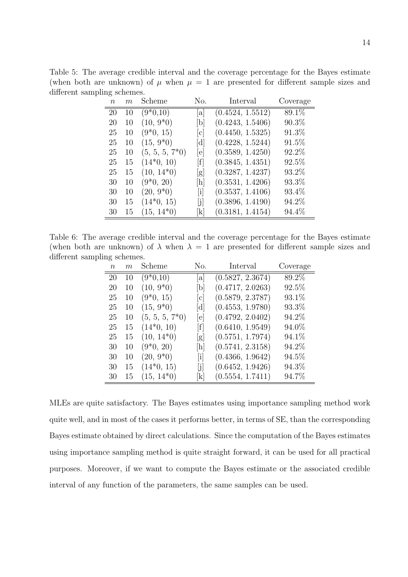Table 5: The average credible interval and the coverage percentage for the Bayes estimate (when both are unknown) of  $\mu$  when  $\mu = 1$  are presented for different sample sizes and different sampling schemes.

| $n_{\rm }$ | m  | Scheme            | No.                       | Interval         | Coverage |
|------------|----|-------------------|---------------------------|------------------|----------|
| 20         | 10 | $(9*0,10)$        | <sub>a</sub>              | (0.4524, 1.5512) | 89.1%    |
| 20         | 10 | $(10, 9^*0)$      | [b]                       | (0.4243, 1.5406) | $90.3\%$ |
| 25         | 10 | $(9*0, 15)$       | c                         | (0.4450, 1.5325) | 91.3%    |
| 25         | 10 | $(15, 9^*0)$      | d                         | (0.4228, 1.5244) | 91.5%    |
| 25         | 10 | $(5, 5, 5, 7^*0)$ | e                         | (0.3589, 1.4250) | 92.2%    |
| 25         | 15 | $(14*0, 10)$      | [f]                       | (0.3845, 1.4351) | $92.5\%$ |
| 25         | 15 | $(10, 14^*0)$     | g                         | (0.3287, 1.4237) | 93.2%    |
| 30         | 10 | $(9*0, 20)$       | [h]                       | (0.3531, 1.4206) | 93.3%    |
| 30         | 10 | $(20, 9^*0)$      | $\left[\mathrm{i}\right]$ | (0.3537, 1.4106) | 93.4\%   |
| 30         | 15 | $(14*0, 15)$      | $[j]$                     | (0.3896, 1.4190) | 94.2%    |
| 30         | 15 | $(15, 14^*0)$     | $\vert k \vert$           | (0.3181, 1.4154) | 94.4%    |

Table 6: The average credible interval and the coverage percentage for the Bayes estimate (when both are unknown) of  $\lambda$  when  $\lambda = 1$  are presented for different sample sizes and different sampling schemes.

| $\boldsymbol{n}$ | m  | Scheme            | No.                       | Interval         | Coverage |
|------------------|----|-------------------|---------------------------|------------------|----------|
| 20               | 10 | $(9*0,10)$        | $ {\rm a} $               | (0.5827, 2.3674) | 89.2%    |
| 20               | 10 | $(10, 9^*0)$      | [b]                       | (0.4717, 2.0263) | 92.5%    |
| 25               | 10 | $(9*0, 15)$       | [c]                       | (0.5879, 2.3787) | 93.1\%   |
| 25               | 10 | $(15, 9^*0)$      | [d]                       | (0.4553, 1.9780) | 93.3%    |
| 25               | 10 | $(5, 5, 5, 7^*0)$ | [e]                       | (0.4792, 2.0402) | 94.2%    |
| 25               | 15 | $(14*0, 10)$      | [f]                       | (0.6410, 1.9549) | 94.0%    |
| 25               | 15 | $(10, 14^*0)$     | [g]                       | (0.5751, 1.7974) | 94.1\%   |
| 30               | 10 | $(9*0, 20)$       | [h]                       | (0.5741, 2.3158) | 94.2%    |
| 30               | 10 | $(20, 9^*0)$      | $\left[\mathrm{i}\right]$ | (0.4366, 1.9642) | 94.5\%   |
| 30               | 15 | $(14*0, 15)$      | [j]                       | (0.6452, 1.9426) | 94.3%    |
| 30               | 15 | $(15, 14^*0)$     | [k]                       | (0.5554, 1.7411) | 94.7%    |

MLEs are quite satisfactory. The Bayes estimates using importance sampling method work quite well, and in most of the cases it performs better, in terms of SE, than the corresponding Bayes estimate obtained by direct calculations. Since the computation of the Bayes estimates using importance sampling method is quite straight forward, it can be used for all practical purposes. Moreover, if we want to compute the Bayes estimate or the associated credible interval of any function of the parameters, the same samples can be used.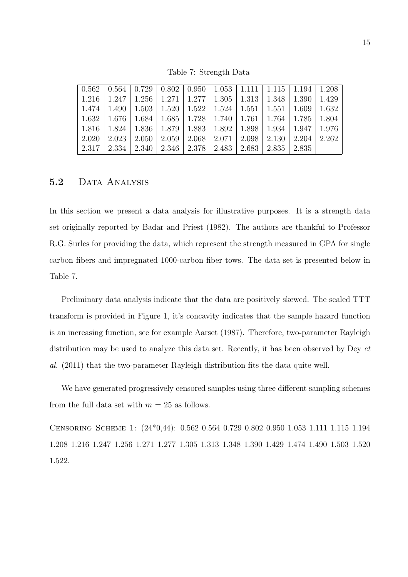| $\mid 0.562 \mid 0.564 \mid 0.729 \mid 0.802 \mid 0.950 \mid 1.053 \mid 1.111 \mid 1.115 \mid 1.194 \mid 1.208$ |              |                                                               |  |                                                                               |  |       |
|-----------------------------------------------------------------------------------------------------------------|--------------|---------------------------------------------------------------|--|-------------------------------------------------------------------------------|--|-------|
| $\mid$ 1.216                                                                                                    | 1.247        | 1.256   1.271   1.277   1.305   1.313   1.348   1.390         |  |                                                                               |  | 1.429 |
| 1.474                                                                                                           |              | 1.490   1.503   1.520   1.522   1.524   1.551   1.551   1.609 |  |                                                                               |  | 1.632 |
| 1.632                                                                                                           | $\mid$ 1.676 |                                                               |  | $1.684$   $1.685$   $1.728$   $1.740$   $1.761$   $1.764$   $1.785$   $1.804$ |  |       |
| 1.816                                                                                                           | 1.824        |                                                               |  | 1.836   1.879   1.883   1.892   1.898   1.934   1.947                         |  | 1.976 |
| 2.020                                                                                                           | 2.023        |                                                               |  | $2.050$   $2.059$   $2.068$   $2.071$   $2.098$   $2.130$   $2.204$           |  | 2.262 |
| 2.317                                                                                                           | 2.334        |                                                               |  | $2.340$   $2.346$   $2.378$   $2.483$   $2.683$   $2.835$   $2.835$           |  |       |

Table 7: Strength Data

#### 5.2 DATA ANALYSIS

In this section we present a data analysis for illustrative purposes. It is a strength data set originally reported by Badar and Priest (1982). The authors are thankful to Professor R.G. Surles for providing the data, which represent the strength measured in GPA for single carbon fibers and impregnated 1000-carbon fiber tows. The data set is presented below in Table 7.

Preliminary data analysis indicate that the data are positively skewed. The scaled TTT transform is provided in Figure 1, it's concavity indicates that the sample hazard function is an increasing function, see for example Aarset (1987). Therefore, two-parameter Rayleigh distribution may be used to analyze this data set. Recently, it has been observed by Dey et al. (2011) that the two-parameter Rayleigh distribution fits the data quite well.

We have generated progressively censored samples using three different sampling schemes from the full data set with  $m = 25$  as follows.

Censoring Scheme 1: (24\*0,44): 0.562 0.564 0.729 0.802 0.950 1.053 1.111 1.115 1.194 1.208 1.216 1.247 1.256 1.271 1.277 1.305 1.313 1.348 1.390 1.429 1.474 1.490 1.503 1.520 1.522.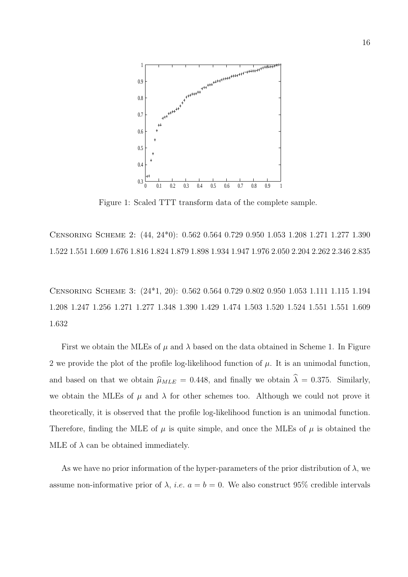

Figure 1: Scaled TTT transform data of the complete sample.

Censoring Scheme 2: (44, 24\*0): 0.562 0.564 0.729 0.950 1.053 1.208 1.271 1.277 1.390 1.522 1.551 1.609 1.676 1.816 1.824 1.879 1.898 1.934 1.947 1.976 2.050 2.204 2.262 2.346 2.835

Censoring Scheme 3: (24\*1, 20): 0.562 0.564 0.729 0.802 0.950 1.053 1.111 1.115 1.194 1.208 1.247 1.256 1.271 1.277 1.348 1.390 1.429 1.474 1.503 1.520 1.524 1.551 1.551 1.609 1.632

First we obtain the MLEs of  $\mu$  and  $\lambda$  based on the data obtained in Scheme 1. In Figure 2 we provide the plot of the profile log-likelihood function of  $\mu$ . It is an unimodal function, and based on that we obtain  $\hat{\mu}_{MLE} = 0.448$ , and finally we obtain  $\hat{\lambda} = 0.375$ . Similarly, we obtain the MLEs of  $\mu$  and  $\lambda$  for other schemes too. Although we could not prove it theoretically, it is observed that the profile log-likelihood function is an unimodal function. Therefore, finding the MLE of  $\mu$  is quite simple, and once the MLEs of  $\mu$  is obtained the MLE of  $\lambda$  can be obtained immediately.

As we have no prior information of the hyper-parameters of the prior distribution of  $\lambda$ , we assume non-informative prior of  $\lambda$ , *i.e.*  $a = b = 0$ . We also construct 95% credible intervals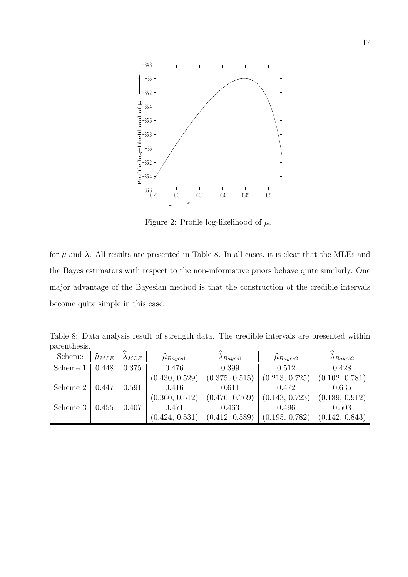

Figure 2: Profile log-likelihood of  $\mu$ .

for  $\mu$  and  $\lambda$ . All results are presented in Table 8. In all cases, it is clear that the MLEs and the Bayes estimators with respect to the non-informative priors behave quite similarly. One major advantage of the Bayesian method is that the construction of the credible intervals become quite simple in this case.

Table 8: Data analysis result of strength data. The credible intervals are presented within parenthesis.  $\overline{1}$  $\overline{a}$ 

| Scheme   | $\mu_{MLE}$ | $\lambda_{MLE}$ | $\mu_{Bayes1}$ | $\lambda$ Bayes1 | $\mu_{Bayes2}$ | $\lambda$ Bayes2 |
|----------|-------------|-----------------|----------------|------------------|----------------|------------------|
| Scheme 1 | 0.448       | 0.375           | 0.476          | 0.399            | 0.512          | 0.428            |
|          |             |                 | (0.430, 0.529) | (0.375, 0.515)   | (0.213, 0.725) | (0.102, 0.781)   |
| Scheme 2 | 0.447       | 0.591           | 0.416          | 0.611            | 0.472          | 0.635            |
|          |             |                 | (0.360, 0.512) | (0.476, 0.769)   | (0.143, 0.723) | (0.189, 0.912)   |
| Scheme 3 | 0.455       | 0.407           | 0.471          | 0.463            | 0.496          | 0.503            |
|          |             |                 | (0.424, 0.531) | (0.412, 0.589)   | (0.195, 0.782) | (0.142, 0.843)   |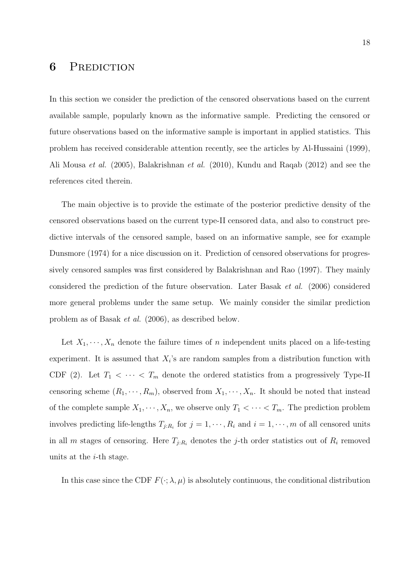### 6 PREDICTION

In this section we consider the prediction of the censored observations based on the current available sample, popularly known as the informative sample. Predicting the censored or future observations based on the informative sample is important in applied statistics. This problem has received considerable attention recently, see the articles by Al-Hussaini (1999), Ali Mousa et al. (2005), Balakrishnan et al. (2010), Kundu and Raqab (2012) and see the references cited therein.

The main objective is to provide the estimate of the posterior predictive density of the censored observations based on the current type-II censored data, and also to construct predictive intervals of the censored sample, based on an informative sample, see for example Dunsmore (1974) for a nice discussion on it. Prediction of censored observations for progressively censored samples was first considered by Balakrishnan and Rao (1997). They mainly considered the prediction of the future observation. Later Basak et al. (2006) considered more general problems under the same setup. We mainly consider the similar prediction problem as of Basak et al. (2006), as described below.

Let  $X_1, \dots, X_n$  denote the failure times of n independent units placed on a life-testing experiment. It is assumed that  $X_i$ 's are random samples from a distribution function with CDF (2). Let  $T_1 < \cdots < T_m$  denote the ordered statistics from a progressively Type-II censoring scheme  $(R_1, \dots, R_m)$ , observed from  $X_1, \dots, X_n$ . It should be noted that instead of the complete sample  $X_1, \dots, X_n$ , we observe only  $T_1 < \dots < T_m$ . The prediction problem involves predicting life-lengths  $T_{j:R_i}$  for  $j = 1, \dots, R_i$  and  $i = 1, \dots, m$  of all censored units in all m stages of censoring. Here  $T_{j:R_i}$  denotes the j-th order statistics out of  $R_i$  removed units at the i-th stage.

In this case since the CDF  $F(\cdot; \lambda, \mu)$  is absolutely continuous, the conditional distribution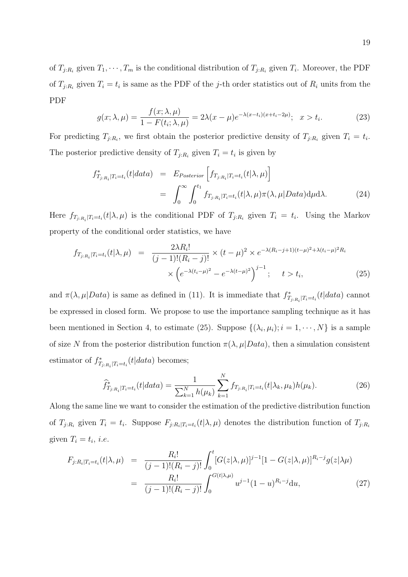of  $T_{j:R_i}$  given  $T_1, \dots, T_m$  is the conditional distribution of  $T_{j:R_i}$  given  $T_i$ . Moreover, the PDF of  $T_{j:R_i}$  given  $T_i = t_i$  is same as the PDF of the j-th order statistics out of  $R_i$  units from the PDF

$$
g(x; \lambda, \mu) = \frac{f(x; \lambda, \mu)}{1 - F(t_i; \lambda, \mu)} = 2\lambda(x - \mu)e^{-\lambda(x - t_i)(x + t_i - 2\mu)}; \quad x > t_i.
$$
 (23)

For predicting  $T_{j:R_i}$ , we first obtain the posterior predictive density of  $T_{j:R_i}$  given  $T_i = t_i$ . The posterior predictive density of  $T_{j:R_i}$  given  $T_i = t_i$  is given by

$$
f_{T_{j:R_i}|T_i=t_i}^*(t|data) = E_{Posterior}\left[f_{T_{j:R_i}|T_i=t_i}(t|\lambda,\mu)\right]
$$
  

$$
= \int_0^\infty \int_0^{t_1} f_{T_{j:R_i}|T_i=t_i}(t|\lambda,\mu)\pi(\lambda,\mu|Data)d\mu d\lambda.
$$
 (24)

Here  $f_{T_j:R_i|T_i=t_i}(t|\lambda,\mu)$  is the conditional PDF of  $T_{j:R_i}$  given  $T_i = t_i$ . Using the Markov property of the conditional order statistics, we have

$$
f_{T_{j:R_i}|T_i=t_i}(t|\lambda,\mu) = \frac{2\lambda R_i!}{(j-1)!(R_i-j)!} \times (t-\mu)^2 \times e^{-\lambda(R_i-j+1)(t-\mu)^2 + \lambda(t_i-\mu)^2 R_i}
$$

$$
\times \left(e^{-\lambda(t_i-\mu)^2} - e^{-\lambda(t-\mu)^2}\right)^{j-1}; \quad t > t_i,
$$
(25)

and  $\pi(\lambda, \mu| Data)$  is same as defined in (11). It is immediate that  $f_{T_{j:R_i}|T_i=t_i}^*(t|data)$  cannot be expressed in closed form. We propose to use the importance sampling technique as it has been mentioned in Section 4, to estimate (25). Suppose  $\{(\lambda_i, \mu_i); i = 1, \dots, N\}$  is a sample of size N from the posterior distribution function  $\pi(\lambda, \mu| Data)$ , then a simulation consistent estimator of  $f_{T_{j:R_i}|T_i=t_i}^*(t|data)$  becomes;

$$
\widehat{f}_{T_{j:R_i}|T_i=t_i}^*(t|data) = \frac{1}{\sum_{k=1}^N h(\mu_k)} \sum_{k=1}^N f_{T_{j:R_i}|T_i=t_i}(t|\lambda_k, \mu_k) h(\mu_k).
$$
\n(26)

Along the same line we want to consider the estimation of the predictive distribution function of  $T_{j:R_i}$  given  $T_i = t_i$ . Suppose  $F_{j:R_i|T_i=t_i}(t|\lambda,\mu)$  denotes the distribution function of  $T_{j:R_i}$ given  $T_i = t_i$ , *i.e.* 

$$
F_{j:R_i|T_i=t_i}(t|\lambda,\mu) = \frac{R_i!}{(j-1)!(R_i-j)!} \int_0^t [G(z|\lambda,\mu)]^{j-1} [1 - G(z|\lambda,\mu)]^{R_i-j} g(z|\lambda\mu)
$$
  

$$
= \frac{R_i!}{(j-1)!(R_i-j)!} \int_0^{G(t|\lambda,\mu)} u^{j-1} (1-u)^{R_i-j} du,
$$
 (27)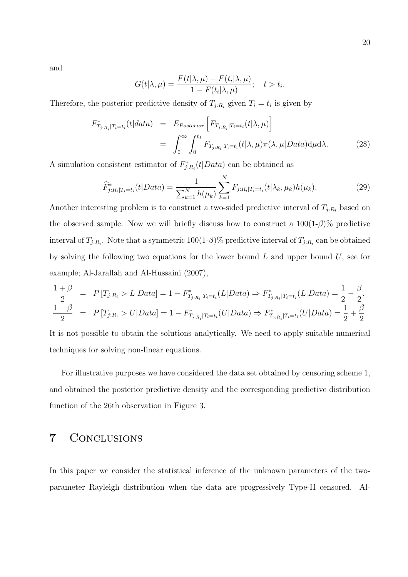and

$$
G(t|\lambda,\mu) = \frac{F(t|\lambda,\mu) - F(t_i|\lambda,\mu)}{1 - F(t_i|\lambda,\mu)}; \quad t > t_i.
$$

Therefore, the posterior predictive density of  $T_{j:R_i}$  given  $T_i = t_i$  is given by

$$
F_{T_{j:R_i}|T_i=t_i}^*(t|data) = E_{Posterior}\left[F_{T_{j:R_i}|T_i=t_i}(t|\lambda,\mu)\right]
$$
  

$$
= \int_0^\infty \int_0^{t_1} F_{T_{j:R_i}|T_i=t_i}(t|\lambda,\mu)\pi(\lambda,\mu|Data)d\mu d\lambda.
$$
 (28)

A simulation consistent estimator of  $F_{j:R_i}^*(t|Data)$  can be obtained as

$$
\widehat{F}_{j:R_i|T_i=t_i}^*(t|Data) = \frac{1}{\sum_{k=1}^N h(\mu_k)} \sum_{k=1}^N F_{j:R_i|T_i=t_i}(t|\lambda_k, \mu_k) h(\mu_k).
$$
\n(29)

Another interesting problem is to construct a two-sided predictive interval of  $T_{j:R_i}$  based on the observed sample. Now we will briefly discuss how to construct a  $100(1-\beta)\%$  predictive interval of  $T_{j:R_i}$ . Note that a symmetric 100(1- $\beta$ )% predictive interval of  $T_{j:R_i}$  can be obtained by solving the following two equations for the lower bound  $L$  and upper bound  $U$ , see for example; Al-Jarallah and Al-Hussaini (2007),

$$
\frac{1+\beta}{2} = P[T_{j:R_i} > L | Data] = 1 - F_{T_{j:R_i} | T_{i} = t_i}^*(L | Data) \Rightarrow F_{T_{j:R_i} | T_{i} = t_i}^*(L | Data) = \frac{1}{2} - \frac{\beta}{2},
$$
  

$$
\frac{1-\beta}{2} = P[T_{j:R_i} > U | Data] = 1 - F_{T_{j:R_i} | T_{i} = t_i}^*(U | Data) \Rightarrow F_{T_{j:R_i} | T_{i} = t_i}^*(U | Data) = \frac{1}{2} + \frac{\beta}{2}.
$$

It is not possible to obtain the solutions analytically. We need to apply suitable numerical techniques for solving non-linear equations.

For illustrative purposes we have considered the data set obtained by censoring scheme 1, and obtained the posterior predictive density and the corresponding predictive distribution function of the 26th observation in Figure 3.

#### 7 Conclusions

In this paper we consider the statistical inference of the unknown parameters of the twoparameter Rayleigh distribution when the data are progressively Type-II censored. Al-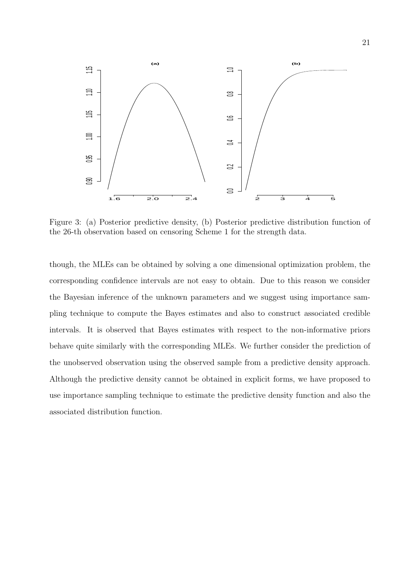

Figure 3: (a) Posterior predictive density, (b) Posterior predictive distribution function of the 26-th observation based on censoring Scheme 1 for the strength data.

though, the MLEs can be obtained by solving a one dimensional optimization problem, the corresponding confidence intervals are not easy to obtain. Due to this reason we consider the Bayesian inference of the unknown parameters and we suggest using importance sampling technique to compute the Bayes estimates and also to construct associated credible intervals. It is observed that Bayes estimates with respect to the non-informative priors behave quite similarly with the corresponding MLEs. We further consider the prediction of the unobserved observation using the observed sample from a predictive density approach. Although the predictive density cannot be obtained in explicit forms, we have proposed to use importance sampling technique to estimate the predictive density function and also the associated distribution function.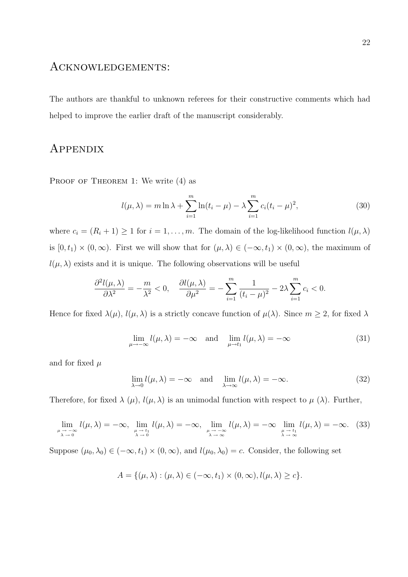#### Acknowledgements:

The authors are thankful to unknown referees for their constructive comments which had helped to improve the earlier draft of the manuscript considerably.

### **APPENDIX**

PROOF OF THEOREM 1: We write  $(4)$  as

$$
l(\mu, \lambda) = m \ln \lambda + \sum_{i=1}^{m} \ln(t_i - \mu) - \lambda \sum_{i=1}^{m} c_i (t_i - \mu)^2,
$$
 (30)

where  $c_i = (R_i + 1) \ge 1$  for  $i = 1, ..., m$ . The domain of the log-likelihood function  $l(\mu, \lambda)$ is  $[0, t_1) \times (0, \infty)$ . First we will show that for  $(\mu, \lambda) \in (-\infty, t_1) \times (0, \infty)$ , the maximum of  $l(\mu, \lambda)$  exists and it is unique. The following observations will be useful

$$
\frac{\partial^2 l(\mu,\lambda)}{\partial \lambda^2} = -\frac{m}{\lambda^2} < 0, \quad \frac{\partial l(\mu,\lambda)}{\partial \mu^2} = -\sum_{i=1}^m \frac{1}{(t_i - \mu)^2} - 2\lambda \sum_{i=1}^m c_i < 0.
$$

Hence for fixed  $\lambda(\mu)$ ,  $l(\mu, \lambda)$  is a strictly concave function of  $\mu(\lambda)$ . Since  $m \geq 2$ , for fixed  $\lambda$ 

$$
\lim_{\mu \to -\infty} l(\mu, \lambda) = -\infty \quad \text{and} \quad \lim_{\mu \to t_1} l(\mu, \lambda) = -\infty \tag{31}
$$

and for fixed  $\mu$ 

$$
\lim_{\lambda \to 0} l(\mu, \lambda) = -\infty \quad \text{and} \quad \lim_{\lambda \to \infty} l(\mu, \lambda) = -\infty.
$$
 (32)

Therefore, for fixed  $\lambda(\mu)$ ,  $l(\mu, \lambda)$  is an unimodal function with respect to  $\mu(\lambda)$ . Further,

$$
\lim_{\substack{\mu \to -\infty \\ \lambda \to 0}} l(\mu, \lambda) = -\infty, \lim_{\substack{\mu \to t_1 \\ \lambda \to 0}} l(\mu, \lambda) = -\infty, \lim_{\substack{\mu \to -\infty \\ \lambda \to \infty}} l(\mu, \lambda) = -\infty \lim_{\substack{\mu \to t_1 \\ \lambda \to \infty}} l(\mu, \lambda) = -\infty. (33)
$$

Suppose  $(\mu_0, \lambda_0) \in (-\infty, t_1) \times (0, \infty)$ , and  $l(\mu_0, \lambda_0) = c$ . Consider, the following set

$$
A = \{(\mu, \lambda) : (\mu, \lambda) \in (-\infty, t_1) \times (0, \infty), l(\mu, \lambda) \ge c\}.
$$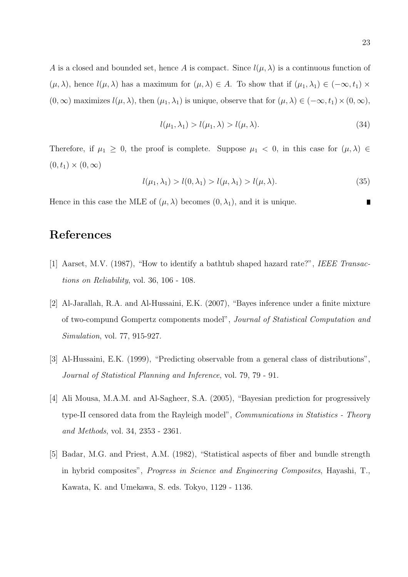A is a closed and bounded set, hence A is compact. Since  $l(\mu, \lambda)$  is a continuous function of  $(\mu, \lambda)$ , hence  $l(\mu, \lambda)$  has a maximum for  $(\mu, \lambda) \in A$ . To show that if  $(\mu_1, \lambda_1) \in (-\infty, t_1) \times$  $(0, \infty)$  maximizes  $l(\mu, \lambda)$ , then  $(\mu_1, \lambda_1)$  is unique, observe that for  $(\mu, \lambda) \in (-\infty, t_1) \times (0, \infty)$ ,

$$
l(\mu_1, \lambda_1) > l(\mu_1, \lambda) > l(\mu, \lambda).
$$
\n(34)

Therefore, if  $\mu_1 \geq 0$ , the proof is complete. Suppose  $\mu_1 < 0$ , in this case for  $(\mu, \lambda) \in$  $(0, t_1) \times (0, \infty)$ 

$$
l(\mu_1, \lambda_1) > l(0, \lambda_1) > l(\mu, \lambda_1) > l(\mu, \lambda).
$$
 (35)

Hence in this case the MLE of  $(\mu, \lambda)$  becomes  $(0, \lambda_1)$ , and it is unique.

### References

- [1] Aarset, M.V. (1987), "How to identify a bathtub shaped hazard rate?", IEEE Transactions on Reliability, vol. 36, 106 - 108.
- [2] Al-Jarallah, R.A. and Al-Hussaini, E.K. (2007), "Bayes inference under a finite mixture of two-compund Gompertz components model", Journal of Statistical Computation and Simulation, vol. 77, 915-927.
- [3] Al-Hussaini, E.K. (1999), "Predicting observable from a general class of distributions", Journal of Statistical Planning and Inference, vol. 79, 79 - 91.
- [4] Ali Mousa, M.A.M. and Al-Sagheer, S.A. (2005), "Bayesian prediction for progressively type-II censored data from the Rayleigh model", Communications in Statistics - Theory and Methods, vol. 34, 2353 - 2361.
- [5] Badar, M.G. and Priest, A.M. (1982), "Statistical aspects of fiber and bundle strength in hybrid composites", Progress in Science and Engineering Composites, Hayashi, T., Kawata, K. and Umekawa, S. eds. Tokyo, 1129 - 1136.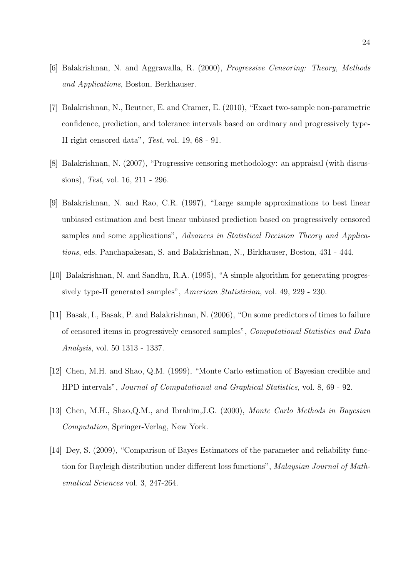- [6] Balakrishnan, N. and Aggrawalla, R. (2000), Progressive Censoring: Theory, Methods and Applications, Boston, Berkhauser.
- [7] Balakrishnan, N., Beutner, E. and Cramer, E. (2010), "Exact two-sample non-parametric confidence, prediction, and tolerance intervals based on ordinary and progressively type-II right censored data", Test, vol. 19, 68 - 91.
- [8] Balakrishnan, N. (2007), "Progressive censoring methodology: an appraisal (with discussions), Test, vol. 16, 211 - 296.
- [9] Balakrishnan, N. and Rao, C.R. (1997), "Large sample approximations to best linear unbiased estimation and best linear unbiased prediction based on progressively censored samples and some applications", Advances in Statistical Decision Theory and Applications, eds. Panchapakesan, S. and Balakrishnan, N., Birkhauser, Boston, 431 - 444.
- [10] Balakrishnan, N. and Sandhu, R.A. (1995), "A simple algorithm for generating progressively type-II generated samples", American Statistician, vol. 49, 229 - 230.
- [11] Basak, I., Basak, P. and Balakrishnan, N. (2006), "On some predictors of times to failure of censored items in progressively censored samples", Computational Statistics and Data Analysis, vol. 50 1313 - 1337.
- [12] Chen, M.H. and Shao, Q.M. (1999), "Monte Carlo estimation of Bayesian credible and HPD intervals", Journal of Computational and Graphical Statistics, vol. 8, 69 - 92.
- [13] Chen, M.H., Shao,Q.M., and Ibrahim,J.G. (2000), Monte Carlo Methods in Bayesian Computation, Springer-Verlag, New York.
- [14] Dey, S. (2009), "Comparison of Bayes Estimators of the parameter and reliability function for Rayleigh distribution under different loss functions", Malaysian Journal of Mathematical Sciences vol. 3, 247-264.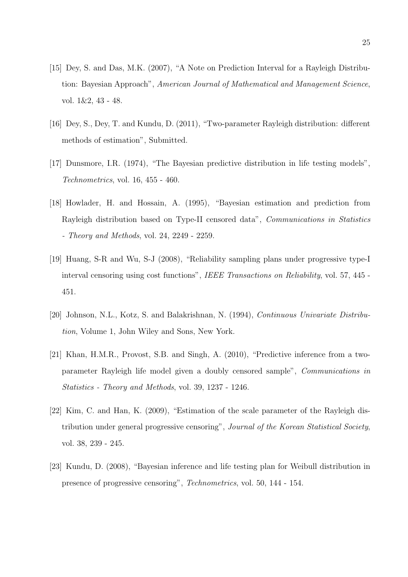- [15] Dey, S. and Das, M.K. (2007), "A Note on Prediction Interval for a Rayleigh Distribution: Bayesian Approach", American Journal of Mathematical and Management Science, vol. 1&2, 43 - 48.
- [16] Dey, S., Dey, T. and Kundu, D. (2011), "Two-parameter Rayleigh distribution: different methods of estimation", Submitted.
- [17] Dunsmore, I.R. (1974), "The Bayesian predictive distribution in life testing models", Technometrics, vol. 16, 455 - 460.
- [18] Howlader, H. and Hossain, A. (1995), "Bayesian estimation and prediction from Rayleigh distribution based on Type-II censored data", Communications in Statistics - Theory and Methods, vol. 24, 2249 - 2259.
- [19] Huang, S-R and Wu, S-J (2008), "Reliability sampling plans under progressive type-I interval censoring using cost functions", IEEE Transactions on Reliability, vol. 57, 445 - 451.
- [20] Johnson, N.L., Kotz, S. and Balakrishnan, N. (1994), Continuous Univariate Distribution, Volume 1, John Wiley and Sons, New York.
- [21] Khan, H.M.R., Provost, S.B. and Singh, A. (2010), "Predictive inference from a twoparameter Rayleigh life model given a doubly censored sample", Communications in Statistics - Theory and Methods, vol. 39, 1237 - 1246.
- [22] Kim, C. and Han, K. (2009), "Estimation of the scale parameter of the Rayleigh distribution under general progressive censoring", Journal of the Korean Statistical Society, vol. 38, 239 - 245.
- [23] Kundu, D. (2008), "Bayesian inference and life testing plan for Weibull distribution in presence of progressive censoring", Technometrics, vol. 50, 144 - 154.